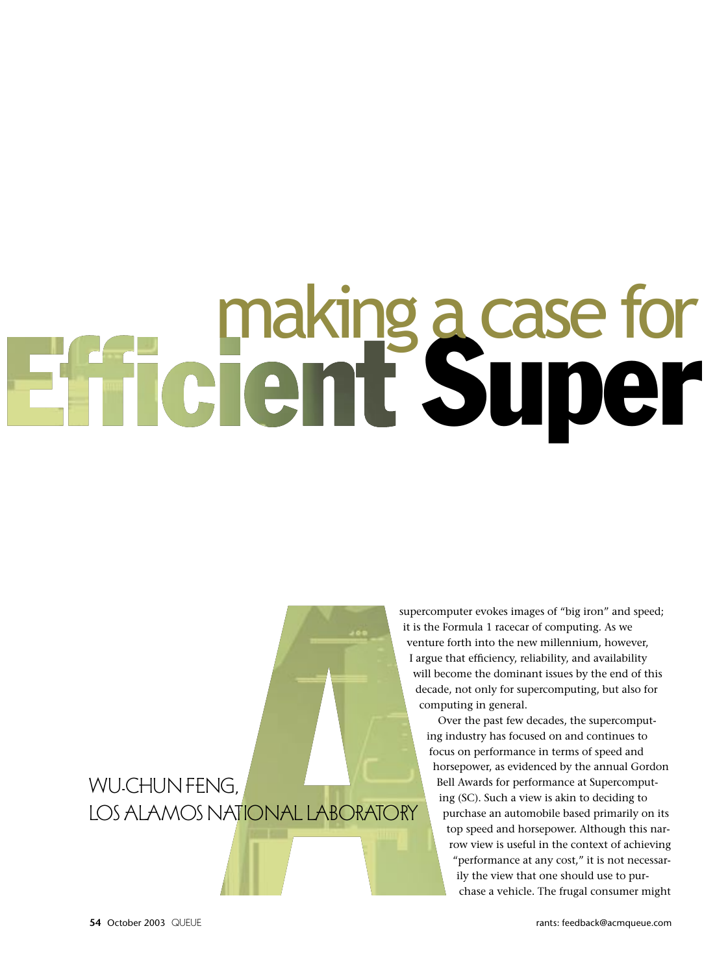# **Super making a case for<br>Entriement Super**

### VYU-CHUN TENU,<br>LOC ALA MACALAT LOS ALAMOS IN MONTEL ROOM TONT

supercomputer evokes images of "big iron" and speed; it is the Formula 1 racecar of computing. As we venture forth into the new millennium, however, I argue that efficiency, reliability, and availability will become the dominant issues by the end of this decade, not only for supercomputing, but also for computing in general.

> Over the past few decades, the supercomputing industry has focused on and continues to focus on performance in terms of speed and horsepower, as evidenced by the annual Gordon Bell Awards for performance at Supercomputing (SC). Such a view is akin to deciding to purchase an automobile based primarily on its top speed and horsepower. Although this narrow view is useful in the context of achieving "performance at any cost," it is not necessarily the view that one should use to purchase a vehicle. The frugal consumer might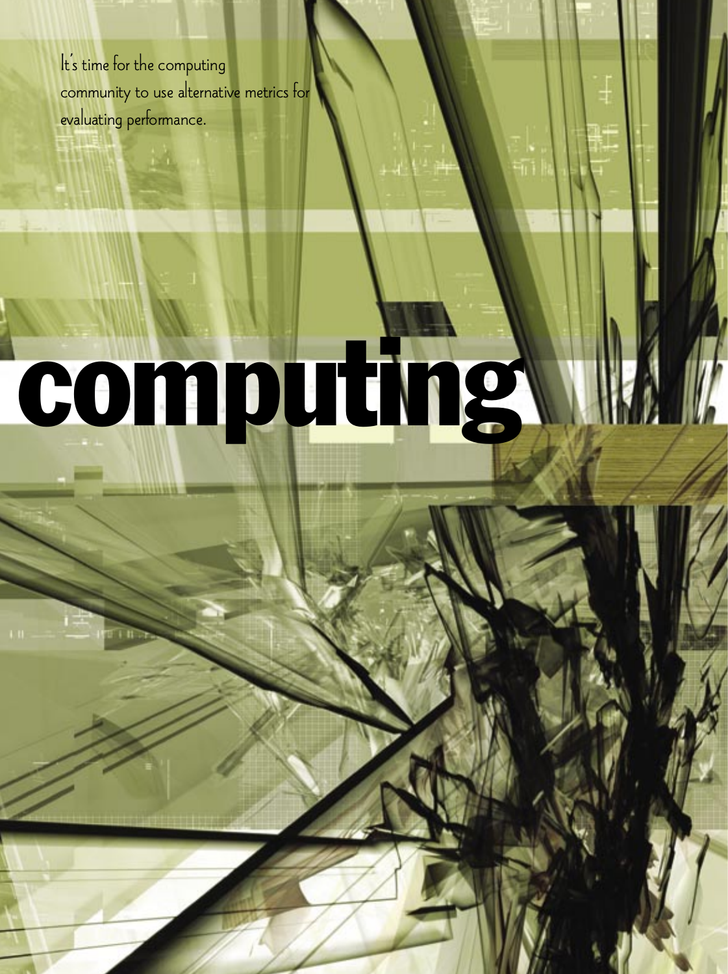It's time for the computing community to use alternative metrics for evaluating performance.

**<sup>54</sup>** October 2003QUEUE rants: feedback@acmqueue.com more queue: www.acmqueue.com QUEUEOctober 2003 **<sup>55</sup>**

## computing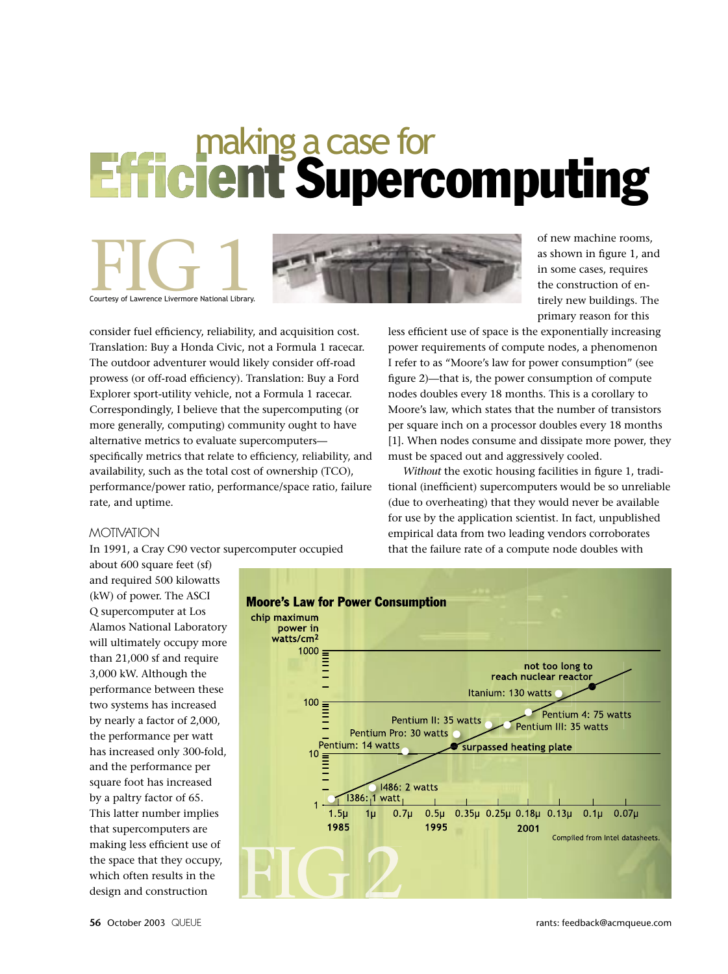### **Efficient Supercomputing**



consider fuel efficiency, reliability, and acquisition cost. Translation: Buy a Honda Civic, not a Formula 1 racecar. The outdoor adventurer would likely consider off-road prowess (or off-road efficiency). Translation: Buy a Ford Explorer sport-utility vehicle, not a Formula 1 racecar. Correspondingly, I believe that the supercomputing (or more generally, computing) community ought to have alternative metrics to evaluate supercomputers specifically metrics that relate to efficiency, reliability, and availability, such as the total cost of ownership (TCO), performance/power ratio, performance/space ratio, failure rate, and uptime.

of new machine rooms, as shown in figure 1, and in some cases, requires the construction of entirely new buildings. The primary reason for this

less efficient use of space is the exponentially increasing power requirements of compute nodes, a phenomenon I refer to as "Moore's law for power consumption" (see figure 2)—that is, the power consumption of compute nodes doubles every 18 months. This is a corollary to Moore's law, which states that the number of transistors per square inch on a processor doubles every 18 months [1]. When nodes consume and dissipate more power, they must be spaced out and aggressively cooled.

*Without* the exotic housing facilities in figure 1, traditional (inefficient) supercomputers would be so unreliable (due to overheating) that they would never be available for use by the application scientist. In fact, unpublished empirical data from two leading vendors corroborates that the failure rate of a compute node doubles with

MOTIVATION In 1991, a Cray C90 vector supercomputer occupied

about 600 square feet (sf) and required 500 kilowatts (kW) of power. The ASCI Q supercomputer at Los Alamos National Laboratory will ultimately occupy more than 21,000 sf and require 3,000 kW. Although the performance between these two systems has increased by nearly a factor of 2,000, the performance per watt has increased only 300-fold, and the performance per square foot has increased by a paltry factor of 65. This latter number implies that supercomputers are making less efficient use of the space that they occupy, which often results in the design and construction

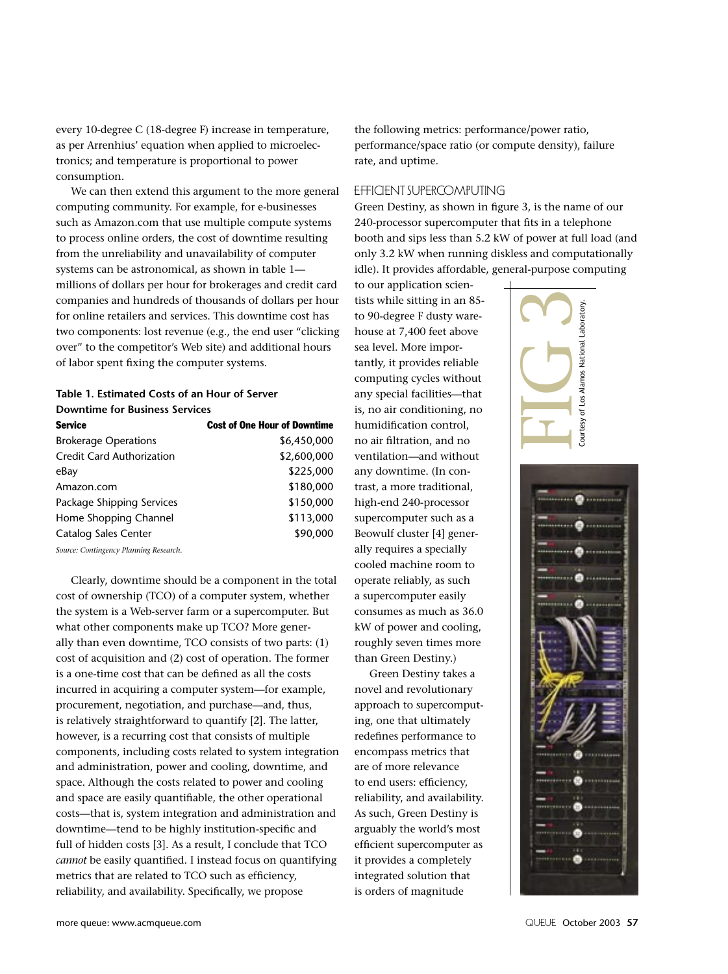every 10-degree C (18-degree F) increase in temperature, as per Arrenhius' equation when applied to microelectronics; and temperature is proportional to power consumption.

We can then extend this argument to the more general computing community. For example, for e-businesses such as Amazon.com that use multiple compute systems to process online orders, the cost of downtime resulting from the unreliability and unavailability of computer systems can be astronomical, as shown in table 1 millions of dollars per hour for brokerages and credit card companies and hundreds of thousands of dollars per hour for online retailers and services. This downtime cost has two components: lost revenue (e.g., the end user "clicking over" to the competitor's Web site) and additional hours of labor spent fixing the computer systems.

### **Table 1. Estimated Costs of an Hour of Server Downtime for Business Services**

| <b>Service</b>              | <b>Cost of One Hour of Downtime</b> |
|-----------------------------|-------------------------------------|
| <b>Brokerage Operations</b> | \$6,450,000                         |
| Credit Card Authorization   | \$2,600,000                         |
| eBay                        | \$225,000                           |
| Amazon.com                  | \$180,000                           |
| Package Shipping Services   | \$150,000                           |
| Home Shopping Channel       | \$113,000                           |
| Catalog Sales Center        | \$90,000                            |
|                             |                                     |

*Source: Contingency Planning Research.*

Clearly, downtime should be a component in the total cost of ownership (TCO) of a computer system, whether the system is a Web-server farm or a supercomputer. But what other components make up TCO? More generally than even downtime, TCO consists of two parts: (1) cost of acquisition and (2) cost of operation. The former is a one-time cost that can be defined as all the costs incurred in acquiring a computer system—for example, procurement, negotiation, and purchase—and, thus, is relatively straightforward to quantify [2]. The latter, however, is a recurring cost that consists of multiple components, including costs related to system integration and administration, power and cooling, downtime, and space. Although the costs related to power and cooling and space are easily quantifiable, the other operational costs—that is, system integration and administration and downtime—tend to be highly institution-specific and full of hidden costs [3]. As a result, I conclude that TCO *cannot* be easily quantified. I instead focus on quantifying metrics that are related to TCO such as efficiency, reliability, and availability. Specifically, we propose

the following metrics: performance/power ratio, performance/space ratio (or compute density), failure rate, and uptime.

EFFICIENT SUPERCOMPUTING Green Destiny, as shown in figure 3, is the name of our 240-processor supercomputer that fits in a telephone booth and sips less than 5.2 kW of power at full load (and only 3.2 kW when running diskless and computationally idle). It provides affordable, general-purpose computing

to our application scientists while sitting in an 85 to 90-degree F dusty warehouse at 7,400 feet above sea level. More importantly, it provides reliable computing cycles without any special facilities—that is, no air conditioning, no humidification control, no air filtration, and no ventilation—and without any downtime. (In contrast, a more traditional, high-end 240-processor supercomputer such as a Beowulf cluster [4] generally requires a specially cooled machine room to operate reliably, as such a supercomputer easily consumes as much as 36.0 kW of power and cooling, roughly seven times more than Green Destiny.)

Green Destiny takes a novel and revolutionary approach to supercomputing, one that ultimately redefines performance to encompass metrics that are of more relevance to end users: efficiency, reliability, and availability. As such, Green Destiny is arguably the world's most efficient supercomputer as it provides a completely integrated solution that is orders of magnitude



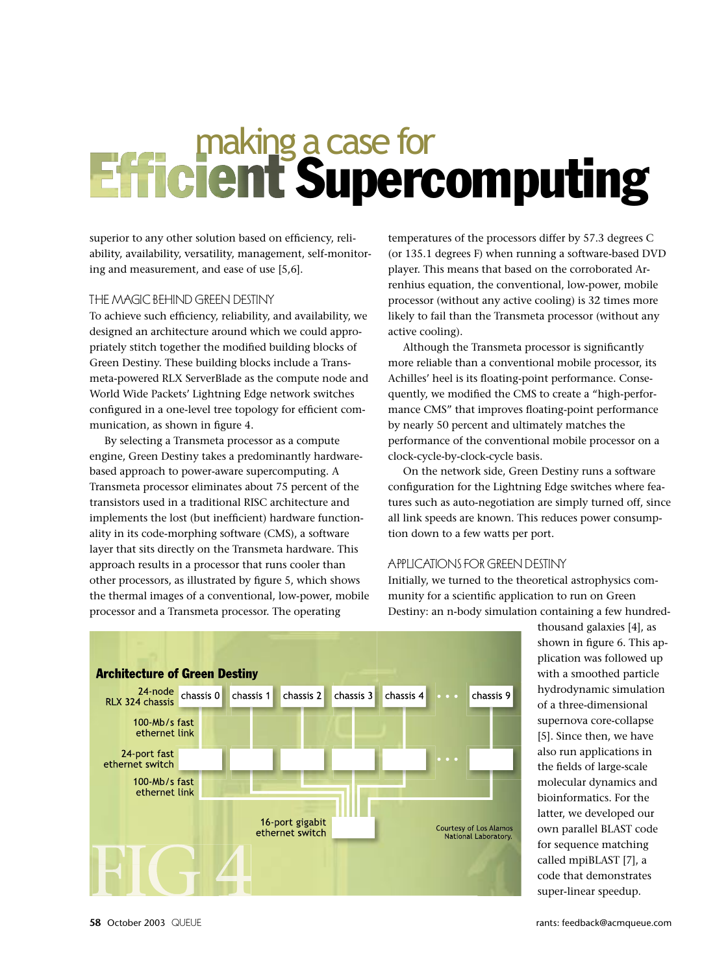### making a case for<br>**Efficient Supercomputing**

superior to any other solution based on efficiency, reliability, availability, versatility, management, self-monitoring and measurement, and ease of use [5,6].

THE MAGIC BEHIND GREEN DESTINY<br>To achieve such efficiency, reliability, and availability, we designed an architecture around which we could appropriately stitch together the modified building blocks of Green Destiny. These building blocks include a Transmeta-powered RLX ServerBlade as the compute node and World Wide Packets' Lightning Edge network switches configured in a one-level tree topology for efficient communication, as shown in figure 4.

By selecting a Transmeta processor as a compute engine, Green Destiny takes a predominantly hardwarebased approach to power-aware supercomputing. A Transmeta processor eliminates about 75 percent of the transistors used in a traditional RISC architecture and implements the lost (but inefficient) hardware functionality in its code-morphing software (CMS), a software layer that sits directly on the Transmeta hardware. This approach results in a processor that runs cooler than other processors, as illustrated by figure 5, which shows the thermal images of a conventional, low-power, mobile processor and a Transmeta processor. The operating

temperatures of the processors differ by 57.3 degrees C (or 135.1 degrees F) when running a software-based DVD player. This means that based on the corroborated Arrenhius equation, the conventional, low-power, mobile processor (without any active cooling) is 32 times more likely to fail than the Transmeta processor (without any active cooling).

Although the Transmeta processor is significantly more reliable than a conventional mobile processor, its Achilles' heel is its floating-point performance. Consequently, we modified the CMS to create a "high-performance CMS" that improves floating-point performance by nearly 50 percent and ultimately matches the performance of the conventional mobile processor on a clock-cycle-by-clock-cycle basis.

On the network side, Green Destiny runs a software configuration for the Lightning Edge switches where features such as auto-negotiation are simply turned off, since all link speeds are known. This reduces power consumption down to a few watts per port.

APPLICATIONS FOR GREEN DESTINY Initially, we turned to the theoretical astrophysics community for a scientific application to run on Green Destiny: an n-body simulation containing a few hundred-



thousand galaxies [4], as shown in figure 6. This application was followed up with a smoothed particle hydrodynamic simulation of a three-dimensional supernova core-collapse [5]. Since then, we have also run applications in the fields of large-scale molecular dynamics and bioinformatics. For the latter, we developed our own parallel BLAST code for sequence matching called mpiBLAST [7], a code that demonstrates super-linear speedup.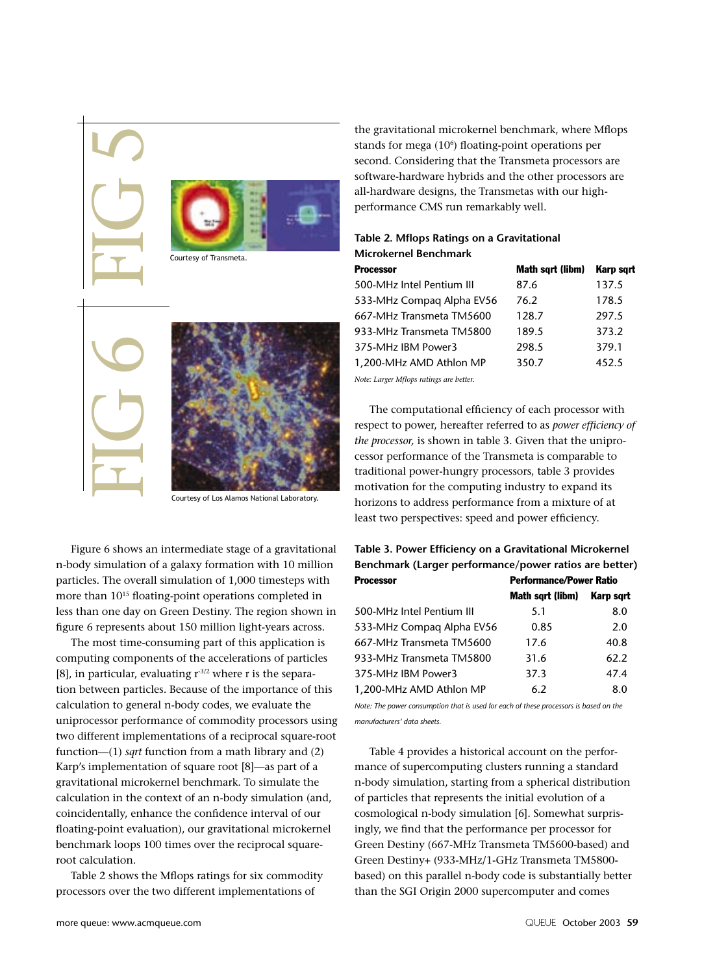

Courtesy of Los Alamos National Laboratory.

Figure 6 shows an intermediate stage of a gravitational n-body simulation of a galaxy formation with 10 million particles. The overall simulation of 1,000 timesteps with more than  $10^{15}$  floating-point operations completed in less than one day on Green Destiny. The region shown in figure 6 represents about 150 million light-years across.

The most time-consuming part of this application is computing components of the accelerations of particles [8], in particular, evaluating  $r^{3/2}$  where r is the separation between particles. Because of the importance of this calculation to general n-body codes, we evaluate the uniprocessor performance of commodity processors using two different implementations of a reciprocal square-root function—(1) *sqrt* function from a math library and (2) Karp's implementation of square root [8]—as part of a gravitational microkernel benchmark. To simulate the calculation in the context of an n-body simulation (and, coincidentally, enhance the confidence interval of our floating-point evaluation), our gravitational microkernel benchmark loops 100 times over the reciprocal squareroot calculation.

Table 2 shows the Mflops ratings for six commodity processors over the two different implementations of

the gravitational microkernel benchmark, where Mflops stands for mega (10<sup>6</sup>) floating-point operations per second. Considering that the Transmeta processors are software-hardware hybrids and the other processors are all-hardware designs, the Transmetas with our highperformance CMS run remarkably well.

### **Table 2. Mflops Ratings on a Gravitational Microkernel Benchmark**

| <b>Processor</b>                       | Math sqrt (libm) | Karp sqrt |
|----------------------------------------|------------------|-----------|
| 500-MHz Intel Pentium III              | 87.6             | 137.5     |
| 533-MHz Compag Alpha EV56              | 76.2             | 178.5     |
| 667-MHz Transmeta TM5600               | 128.7            | 297.5     |
| 933-MHz Transmeta TM5800               | 189.5            | 373.2     |
| 375-MHz IBM Power3                     | 298.5            | 379.1     |
| 1,200-MHz AMD Athlon MP                | 350.7            | 452.5     |
| Note: Larger Mflops ratings are hetter |                  |           |

*Note: Larger Mflops ratings are better.*

The computational efficiency of each processor with respect to power, hereafter referred to as *power efficiency of the processor,* is shown in table 3. Given that the uniprocessor performance of the Transmeta is comparable to traditional power-hungry processors, table 3 provides motivation for the computing industry to expand its horizons to address performance from a mixture of at least two perspectives: speed and power efficiency.

### **Table 3. Power Efficiency on a Gravitational Microkernel Benchmark (Larger performance/power ratios are better)**

| <b>Processor</b>          | <b>Performance/Power Ratio</b> |           |  |  |
|---------------------------|--------------------------------|-----------|--|--|
|                           | Math sqrt (libm)               | Karp sart |  |  |
| 500-MHz Intel Pentium III | 5.1                            | 8.0       |  |  |
| 533-MHz Compag Alpha EV56 | 0.85                           | 2.0       |  |  |
| 667-MHz Transmeta TM5600  | 17.6                           | 40.8      |  |  |
| 933-MHz Transmeta TM5800  | 31.6                           | 62.2      |  |  |
| 375-MHz IBM Power3        | 37.3                           | 47.4      |  |  |
| 1,200-MHz AMD Athlon MP   | 6.2                            | 8.0       |  |  |

*Note: The power consumption that is used for each of these processors is based on the manufacturers' data sheets.*

Table 4 provides a historical account on the performance of supercomputing clusters running a standard n-body simulation, starting from a spherical distribution of particles that represents the initial evolution of a cosmological n-body simulation [6]. Somewhat surprisingly, we find that the performance per processor for Green Destiny (667-MHz Transmeta TM5600-based) and Green Destiny+ (933-MHz/1-GHz Transmeta TM5800 based) on this parallel n-body code is substantially better than the SGI Origin 2000 supercomputer and comes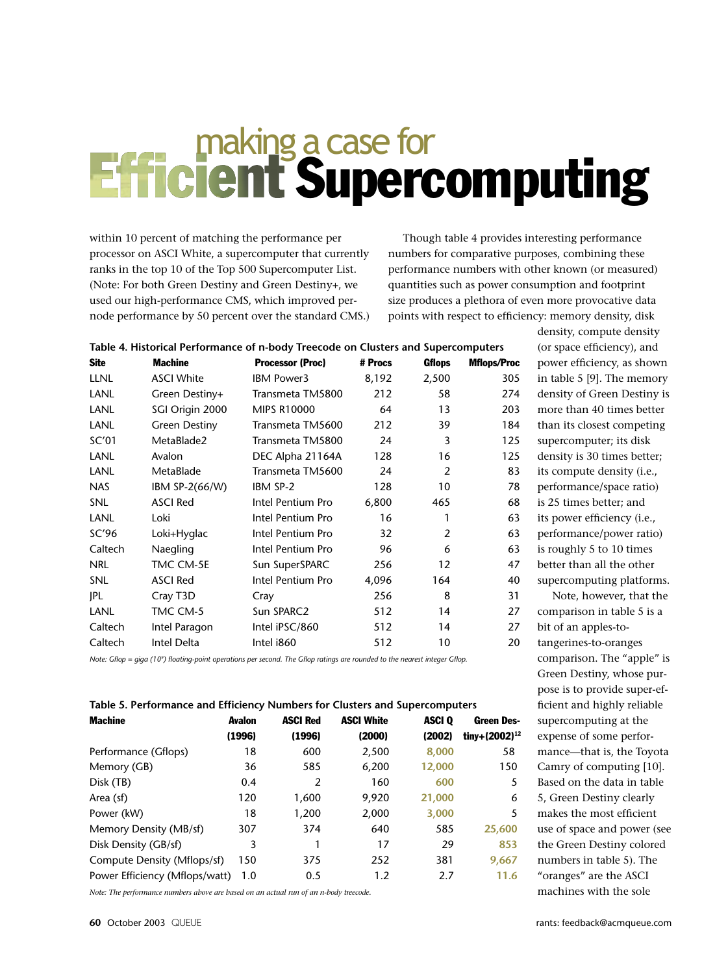### making a case for<br>**Efficient Supercomputing**

within 10 percent of matching the performance per processor on ASCI White, a supercomputer that currently ranks in the top 10 of the Top 500 Supercomputer List. (Note: For both Green Destiny and Green Destiny+, we used our high-performance CMS, which improved pernode performance by 50 percent over the standard CMS.)

Though table 4 provides interesting performance numbers for comparative purposes, combining these performance numbers with other known (or measured) quantities such as power consumption and footprint size produces a plethora of even more provocative data points with respect to efficiency: memory density, disk

| Table 4. Historical Performance of n-body Treecode on Clusters and Supercomputers                                                       |                   |                         |         |                   |                    |
|-----------------------------------------------------------------------------------------------------------------------------------------|-------------------|-------------------------|---------|-------------------|--------------------|
| <b>Site</b>                                                                                                                             | <b>Machine</b>    | <b>Processor (Proc)</b> | # Procs | <b>Gflops</b>     | <b>Mflops/Proc</b> |
| <b>LLNL</b>                                                                                                                             | <b>ASCI White</b> | <b>IBM Power3</b>       | 8,192   | 2,500             | 305                |
| LANL                                                                                                                                    | Green Destiny+    | Transmeta TM5800        | 212     | 58                | 274                |
| <b>LANL</b>                                                                                                                             | SGI Origin 2000   | <b>MIPS R10000</b>      | 64      | 13                | 203                |
| <b>LANL</b>                                                                                                                             | Green Destiny     | Transmeta TM5600        | 212     | 39                | 184                |
| SC'01                                                                                                                                   | MetaBlade2        | Transmeta TM5800        | 24      | 3                 | 125                |
| LANL                                                                                                                                    | Avalon            | DEC Alpha 21164A        | 128     | 16                | 125                |
| <b>LANL</b>                                                                                                                             | <b>MetaBlade</b>  | Transmeta TM5600        | 24      | 2                 | 83                 |
| <b>NAS</b>                                                                                                                              | IBM SP-2(66/W)    | IBM SP-2                | 128     | 10                | 78                 |
| <b>SNL</b>                                                                                                                              | <b>ASCI Red</b>   | Intel Pentium Pro       | 6,800   | 465               | 68                 |
| <b>LANL</b>                                                                                                                             | Loki              | Intel Pentium Pro       | 16      | 1                 | 63                 |
| SC'96                                                                                                                                   | Loki+Hyglac       | Intel Pentium Pro       | 32      | 2                 | 63                 |
| Caltech                                                                                                                                 | Naegling          | Intel Pentium Pro       | 96      | 6                 | 63                 |
| <b>NRL</b>                                                                                                                              | TMC CM-5E         | Sun SuperSPARC          | 256     | $12 \overline{ }$ | 47                 |
| <b>SNL</b>                                                                                                                              | <b>ASCI Red</b>   | Intel Pentium Pro       | 4,096   | 164               | 40                 |
| IPL                                                                                                                                     | Cray T3D          | Cray                    | 256     | 8                 | 31                 |
| <b>LANL</b>                                                                                                                             | TMC CM-5          | Sun SPARC2              | 512     | 14                | 27                 |
| Caltech                                                                                                                                 | Intel Paragon     | Intel iPSC/860          | 512     | 14                | 27                 |
| Caltech                                                                                                                                 | Intel Delta       | Intel i860              | 512     | 10                | 20                 |
| Note: Gflop = aiga (10 <sup>o</sup> ) floating-point operations per second. The Gflop ratings are rounded to the nearest integer Gflop. |                   |                         |         |                   |                    |

### **Table 4. Historical Performance of n-body Treecode on Clusters and Supercomputers**

*Note: Gflop = giga (109 ) floating-point operations per second. The Gflop ratings are rounded to the nearest integer Gflop.*

### **Table 5. Performance and Efficiency Numbers for Clusters and Supercomputers**

| <b>Machine</b>                 | <b>Avalon</b> | <b>ASCI Red</b> | <b>ASCI White</b> | ASCI <sub>0</sub> | <b>Green Des-</b>         |
|--------------------------------|---------------|-----------------|-------------------|-------------------|---------------------------|
|                                | (1996)        | (1996)          | (2000)            | (2002)            | tiny+(2002) <sup>12</sup> |
| Performance (Gflops)           | 18            | 600             | 2,500             | 8,000             | 58                        |
| Memory (GB)                    | 36            | 585             | 6,200             | 12,000            | 150                       |
| Disk (TB)                      | 0.4           | 2               | 160               | 600               | 5                         |
| Area (sf)                      | 120           | 1,600           | 9,920             | 21,000            | 6                         |
| Power (kW)                     | 18            | 1,200           | 2,000             | 3,000             | 5                         |
| Memory Density (MB/sf)         | 307           | 374             | 640               | 585               | 25,600                    |
| Disk Density (GB/sf)           | 3             |                 | 17                | 29                | 853                       |
| Compute Density (Mflops/sf)    | 150           | 375             | 252               | 381               | 9,667                     |
| Power Efficiency (Mflops/watt) | 1.0           | 0.5             | 1.2               | 2.7               | 11.6                      |

*Note: The performance numbers above are based on an actual run of an n-body treecode.*

than its closest competing supercomputer; its disk density is 30 times better; its compute density (i.e., performance/space ratio) is 25 times better; and its power efficiency (i.e., performance/power ratio) is roughly 5 to 10 times better than all the other supercomputing platforms. Note, however, that the comparison in table 5 is a bit of an apples-totangerines-to-oranges comparison. The "apple" is Green Destiny, whose purpose is to provide super-efficient and highly reliable supercomputing at the expense of some performance—that is, the Toyota Camry of computing [10]. Based on the data in table 5, Green Destiny clearly makes the most efficient use of space and power (see the Green Destiny colored numbers in table 5). The "oranges" are the ASCI machines with the sole

density, compute density (or space efficiency), and power efficiency, as shown in table 5 [9]. The memory density of Green Destiny is more than 40 times better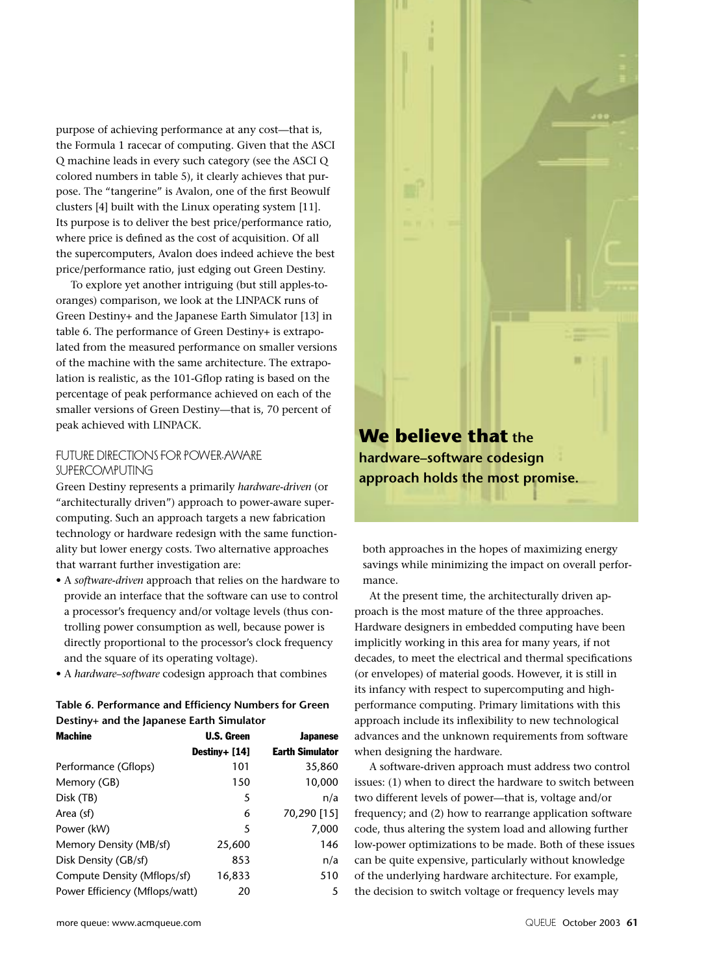purpose of achieving performance at any cost—that is, the Formula 1 racecar of computing. Given that the ASCI Q machine leads in every such category (see the ASCI Q colored numbers in table 5), it clearly achieves that purpose. The "tangerine" is Avalon, one of the first Beowulf clusters [4] built with the Linux operating system [11]. Its purpose is to deliver the best price/performance ratio, where price is defined as the cost of acquisition. Of all the supercomputers, Avalon does indeed achieve the best price/performance ratio, just edging out Green Destiny.

To explore yet another intriguing (but still apples-tooranges) comparison, we look at the LINPACK runs of Green Destiny+ and the Japanese Earth Simulator [13] in table 6. The performance of Green Destiny+ is extrapolated from the measured performance on smaller versions of the machine with the same architecture. The extrapolation is realistic, as the 101-Gflop rating is based on the percentage of peak performance achieved on each of the smaller versions of Green Destiny—that is, 70 percent of peak achieved with LINPACK.

### FUTURE DIRECTIONS FOR POWER-AWARE<br>SUPERCOMPUTING

SUPERCOMPUTING Green Destiny represents a primarily *hardware-driven* (or "architecturally driven") approach to power-aware supercomputing. Such an approach targets a new fabrication technology or hardware redesign with the same functionality but lower energy costs. Two alternative approaches that warrant further investigation are:

- A *software-driven* approach that relies on the hardware to provide an interface that the software can use to control a processor's frequency and/or voltage levels (thus controlling power consumption as well, because power is directly proportional to the processor's clock frequency and the square of its operating voltage).
- A *hardware–software* codesign approach that combines

### **Table 6. Performance and Efficiency Numbers for Green Destiny+ and the Japanese Earth Simulator**

| <b>Machine</b>                 | <b>U.S. Green</b> | <b>Japanese</b>        |
|--------------------------------|-------------------|------------------------|
|                                | Destiny+ [14]     | <b>Earth Simulator</b> |
| Performance (Gflops)           | 101               | 35,860                 |
| Memory (GB)                    | 150               | 10,000                 |
| Disk (TB)                      | 5                 | n/a                    |
| Area (sf)                      | 6                 | 70,290 [15]            |
| Power (kW)                     | 5                 | 7,000                  |
| Memory Density (MB/sf)         | 25,600            | 146                    |
| Disk Density (GB/sf)           | 853               | n/a                    |
| Compute Density (Mflops/sf)    | 16,833            | 510                    |
| Power Efficiency (Mflops/watt) | 20                | 5                      |



both approaches in the hopes of maximizing energy savings while minimizing the impact on overall performance.

At the present time, the architecturally driven approach is the most mature of the three approaches. Hardware designers in embedded computing have been implicitly working in this area for many years, if not decades, to meet the electrical and thermal specifications (or envelopes) of material goods. However, it is still in its infancy with respect to supercomputing and highperformance computing. Primary limitations with this approach include its inflexibility to new technological advances and the unknown requirements from software when designing the hardware.

A software-driven approach must address two control issues: (1) when to direct the hardware to switch between two different levels of power—that is, voltage and/or frequency; and (2) how to rearrange application software code, thus altering the system load and allowing further low-power optimizations to be made. Both of these issues can be quite expensive, particularly without knowledge of the underlying hardware architecture. For example, the decision to switch voltage or frequency levels may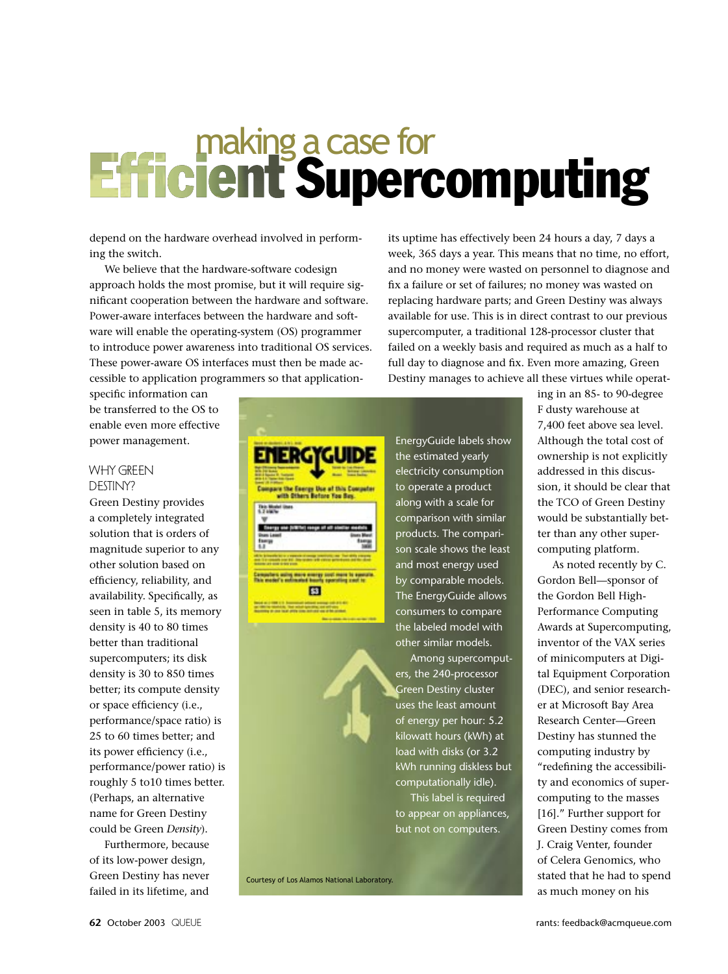### making a case for<br>**Efficient Supercomputing**

depend on the hardware overhead involved in performing the switch.

We believe that the hardware-software codesign approach holds the most promise, but it will require significant cooperation between the hardware and software. Power-aware interfaces between the hardware and software will enable the operating-system (OS) programmer to introduce power awareness into traditional OS services. These power-aware OS interfaces must then be made accessible to application programmers so that application-

specific information can be transferred to the OS to enable even more effective power management.

### WHY GREEN<br>DESTINY?

DESTINY? Green Destiny provides a completely integrated solution that is orders of magnitude superior to any other solution based on efficiency, reliability, and availability. Specifically, as seen in table 5, its memory density is 40 to 80 times better than traditional supercomputers; its disk density is 30 to 850 times better; its compute density or space efficiency (i.e., performance/space ratio) is 25 to 60 times better; and its power efficiency (i.e., performance/power ratio) is roughly 5 to10 times better. (Perhaps, an alternative name for Green Destiny could be Green *Density*).

Furthermore, because of its low-power design, Green Destiny has never failed in its lifetime, and its uptime has effectively been 24 hours a day, 7 days a week, 365 days a year. This means that no time, no effort, and no money were wasted on personnel to diagnose and fix a failure or set of failures; no money was wasted on replacing hardware parts; and Green Destiny was always available for use. This is in direct contrast to our previous supercomputer, a traditional 128-processor cluster that failed on a weekly basis and required as much as a half to full day to diagnose and fix. Even more amazing, Green Destiny manages to achieve all these virtues while operat-



Courtesy of Los Alamos National Laboratory.

ing in an 85- to 90-degree F dusty warehouse at 7,400 feet above sea level. Although the total cost of ownership is not explicitly addressed in this discussion, it should be clear that the TCO of Green Destiny would be substantially better than any other supercomputing platform.

As noted recently by C. Gordon Bell—sponsor of the Gordon Bell High-Performance Computing Awards at Supercomputing, inventor of the VAX series of minicomputers at Digital Equipment Corporation (DEC), and senior researcher at Microsoft Bay Area Research Center—Green Destiny has stunned the computing industry by "redefining the accessibility and economics of supercomputing to the masses [16]." Further support for Green Destiny comes from J. Craig Venter, founder of Celera Genomics, who stated that he had to spend as much money on his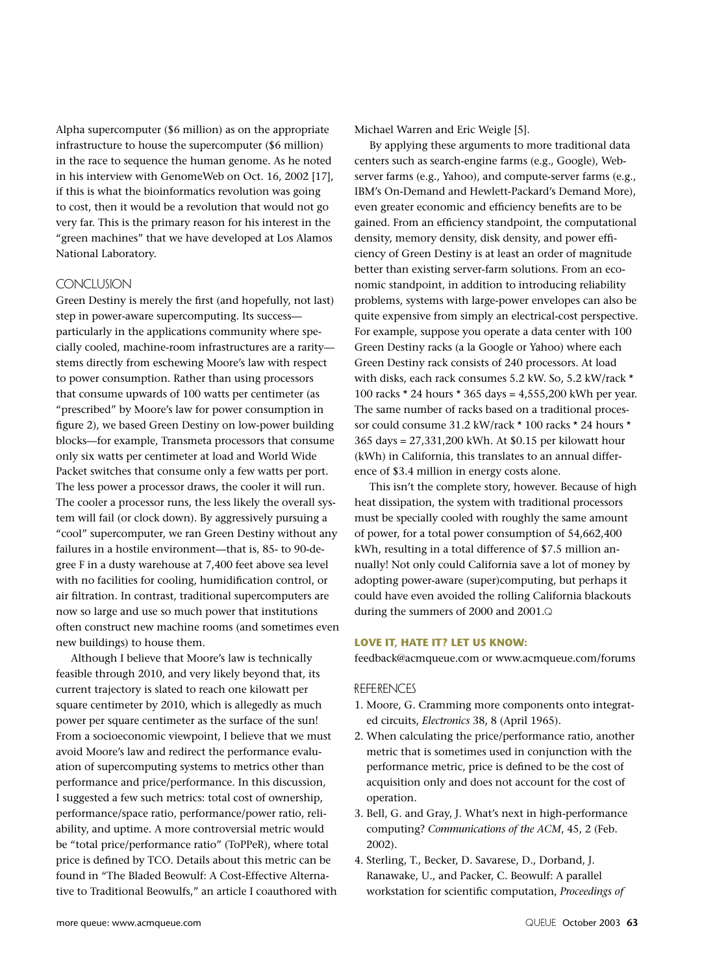Alpha supercomputer (\$6 million) as on the appropriate infrastructure to house the supercomputer (\$6 million) in the race to sequence the human genome. As he noted in his interview with GenomeWeb on Oct. 16, 2002 [17], if this is what the bioinformatics revolution was going to cost, then it would be a revolution that would not go very far. This is the primary reason for his interest in the "green machines" that we have developed at Los Alamos National Laboratory.

CONCLUSION Green Destiny is merely the first (and hopefully, not last) step in power-aware supercomputing. Its success particularly in the applications community where specially cooled, machine-room infrastructures are a rarity stems directly from eschewing Moore's law with respect to power consumption. Rather than using processors that consume upwards of 100 watts per centimeter (as "prescribed" by Moore's law for power consumption in figure 2), we based Green Destiny on low-power building blocks—for example, Transmeta processors that consume only six watts per centimeter at load and World Wide Packet switches that consume only a few watts per port. The less power a processor draws, the cooler it will run. The cooler a processor runs, the less likely the overall system will fail (or clock down). By aggressively pursuing a "cool" supercomputer, we ran Green Destiny without any failures in a hostile environment—that is, 85- to 90-degree F in a dusty warehouse at 7,400 feet above sea level with no facilities for cooling, humidification control, or air filtration. In contrast, traditional supercomputers are now so large and use so much power that institutions often construct new machine rooms (and sometimes even new buildings) to house them.

Although I believe that Moore's law is technically feasible through 2010, and very likely beyond that, its current trajectory is slated to reach one kilowatt per square centimeter by 2010, which is allegedly as much power per square centimeter as the surface of the sun! From a socioeconomic viewpoint, I believe that we must avoid Moore's law and redirect the performance evaluation of supercomputing systems to metrics other than performance and price/performance. In this discussion, I suggested a few such metrics: total cost of ownership, performance/space ratio, performance/power ratio, reliability, and uptime. A more controversial metric would be "total price/performance ratio" (ToPPeR), where total price is defined by TCO. Details about this metric can be found in "The Bladed Beowulf: A Cost-Effective Alternative to Traditional Beowulfs," an article I coauthored with Michael Warren and Eric Weigle [5].

By applying these arguments to more traditional data centers such as search-engine farms (e.g., Google), Webserver farms (e.g., Yahoo), and compute-server farms (e.g., IBM's On-Demand and Hewlett-Packard's Demand More), even greater economic and efficiency benefits are to be gained. From an efficiency standpoint, the computational density, memory density, disk density, and power efficiency of Green Destiny is at least an order of magnitude better than existing server-farm solutions. From an economic standpoint, in addition to introducing reliability problems, systems with large-power envelopes can also be quite expensive from simply an electrical-cost perspective. For example, suppose you operate a data center with 100 Green Destiny racks (a la Google or Yahoo) where each Green Destiny rack consists of 240 processors. At load with disks, each rack consumes 5.2 kW. So, 5.2 kW/rack \* 100 racks \* 24 hours \* 365 days = 4,555,200 kWh per year. The same number of racks based on a traditional processor could consume 31.2 kW/rack \* 100 racks \* 24 hours \* 365 days = 27,331,200 kWh. At \$0.15 per kilowatt hour (kWh) in California, this translates to an annual difference of \$3.4 million in energy costs alone.

This isn't the complete story, however. Because of high heat dissipation, the system with traditional processors must be specially cooled with roughly the same amount of power, for a total power consumption of 54,662,400 kWh, resulting in a total difference of \$7.5 million annually! Not only could California save a lot of money by adopting power-aware (super)computing, but perhaps it could have even avoided the rolling California blackouts during the summers of 2000 and 2001.<sup>Q</sup>

### **LOVE IT, HATE IT? LET US KNOW:**

feedback@acmqueue.com or www.acmqueue.com/forums

- REFERENCES<br>1. Moore, G. Cramming more components onto integrated circuits, *Electronics* 38, 8 (April 1965).
- 2. When calculating the price/performance ratio, another metric that is sometimes used in conjunction with the performance metric, price is defined to be the cost of acquisition only and does not account for the cost of operation.
- 3. Bell, G. and Gray, J. What's next in high-performance computing? *Communications of the ACM*, 45, 2 (Feb. 2002).
- 4. Sterling, T., Becker, D. Savarese, D., Dorband, J. Ranawake, U., and Packer, C. Beowulf: A parallel workstation for scientific computation, *Proceedings of*